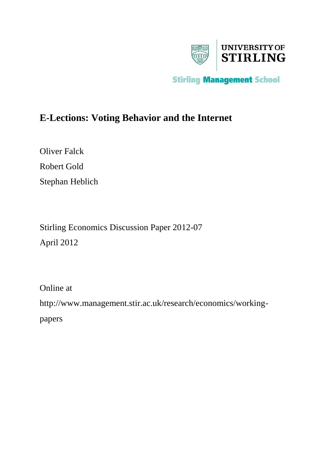

# **E-Lections: Voting Behavior and the Internet**

Oliver Falck Robert Gold Stephan Heblich

Stirling Economics Discussion Paper 2012-07 April 2012

Online at http://www.management.stir.ac.uk/research/economics/workingpapers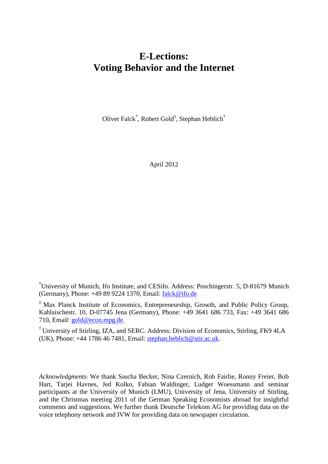# **E-Lections: Voting Behavior and the Internet**

Oliver Falck<sup>\*</sup>, Robert Gold<sup>‡</sup>, Stephan Heblich<sup>†</sup>

April 2012

\* University of Munich, Ifo Institute, and CESifo. Address: Poschingerstr. 5, D-81679 Munich (Germany), Phone: +49 89 9224 1370, Email: [falck@ifo.de](mailto:falck@ifo.de)

‡ Max Planck Institute of Economics, Entrepreneurship, Growth, and Public Policy Group, Kahlaischestr. 10, D-07745 Jena (Germany), Phone: +49 3641 686 733, Fax: +49 3641 686 710, Email: [gold@econ.mpg.de.](mailto:gold@econ.mpg.de)

† University of Stirling, IZA, and SERC. Address: Division of Economics, Stirling, FK9 4LA (UK), Phone: +44 1786 46 7481, Email: [stephan.heblich@stir.ac.uk.](mailto:stephan.heblich@stir.ac.uk)

<span id="page-1-0"></span>*Acknowledgments*: We thank Sascha Becker, Nina Czernich, Rob Fairlie, Ronny Freier, Bob Hart, Tarjei Havnes, Jed Kolko, Fabian Waldinger, Ludger Woessmann and seminar participants at the University of Munich (LMU), University of Jena, University of Stirling, and the Christmas meeting 2011 of the German Speaking Economists abroad for insightful comments and suggestions. We further thank Deutsche Telekom AG for providing data on the voice telephony network and IVW for providing data on newspaper circulation.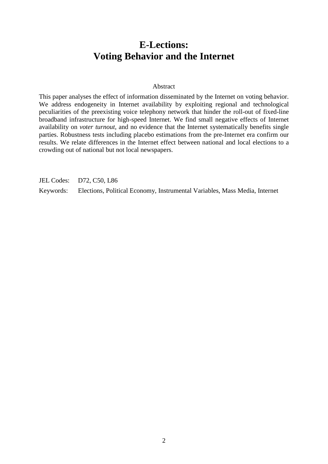# **E-Lections: Voting Behavior and the Internet**

## Abstract

This paper analyses the effect of information disseminated by the Internet on voting behavior. We address endogeneity in Internet availability by exploiting regional and technological peculiarities of the preexisting voice telephony network that hinder the roll-out of fixed-line broadband infrastructure for high-speed Internet. We find small negative effects of Internet availability on *voter turnout*, and no evidence that the Internet systematically benefits single parties. Robustness tests including placebo estimations from the pre-Internet era confirm our results. We relate differences in the Internet effect between national and local elections to a crowding out of national but not local newspapers.

JEL Codes: D72, C50, L86

Keywords: Elections, Political Economy, Instrumental Variables, Mass Media, Internet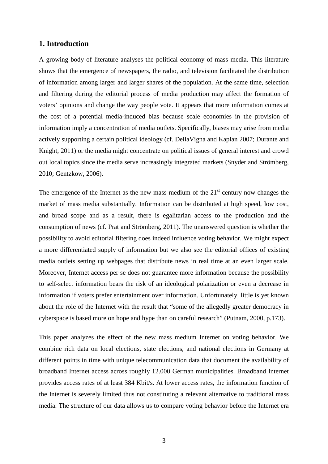# **1. Introduction**

A growing body of literature analyses the political economy of mass media. This literature shows that the emergence of newspapers, the radio, and television facilitated the distribution of information among larger and larger shares of the population. At the same time, selection and filtering during the editorial process of media production may affect the formation of voters' opinions and change the way people vote. It appears that more information comes at the cost of a potential media-induced bias because scale economies in the provision of information imply a concentration of media outlets. Specifically, biases may arise from media actively supporting a certain political ideology (cf. DellaVigna and Kaplan 2007; Durante and Knight, 2011) or the media might concentrate on political issues of general interest and crowd out local topics since the media serve increasingly integrated markets (Snyder and Strömberg, 2010; Gentzkow, 2006).

The emergence of the Internet as the new mass medium of the  $21<sup>st</sup>$  century now changes the market of mass media substantially. Information can be distributed at high speed, low cost, and broad scope and as a result, there is egalitarian access to the production and the consumption of news (cf. Prat and Strömberg, 2011). The unanswered question is whether the possibility to avoid editorial filtering does indeed influence voting behavior. We might expect a more differentiated supply of information but we also see the editorial offices of existing media outlets setting up webpages that distribute news in real time at an even larger scale. Moreover, Internet access per se does not guarantee more information because the possibility to self-select information bears the risk of an ideological polarization or even a decrease in information if voters prefer entertainment over information. Unfortunately, little is yet known about the role of the Internet with the result that "some of the allegedly greater democracy in cyberspace is based more on hope and hype than on careful research" (Putnam, 2000, p.173).

This paper analyzes the effect of the new mass medium Internet on voting behavior. We combine rich data on local elections, state elections, and national elections in Germany at different points in time with unique telecommunication data that document the availability of broadband Internet access across roughly 12.000 German municipalities. Broadband Internet provides access rates of at least 384 Kbit/s. At lower access rates, the information function of the Internet is severely limited thus not constituting a relevant alternative to traditional mass media. The structure of our data allows us to compare voting behavior before the Internet era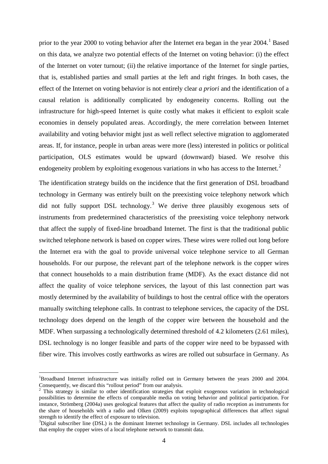prior to the year 2000 to voting behavior after the Internet era began in the year 2004.<sup>[1](#page-1-0)</sup> Based on this data, we analyze two potential effects of the Internet on voting behavior: (i) the effect of the Internet on voter turnout; (ii) the relative importance of the Internet for single parties, that is, established parties and small parties at the left and right fringes. In both cases, the effect of the Internet on voting behavior is not entirely clear *a priori* and the identification of a causal relation is additionally complicated by endogeneity concerns. Rolling out the infrastructure for high-speed Internet is quite costly what makes it efficient to exploit scale economies in densely populated areas. Accordingly, the mere correlation between Internet availability and voting behavior might just as well reflect selective migration to agglomerated areas. If, for instance, people in urban areas were more (less) interested in politics or political participation, OLS estimates would be upward (downward) biased. We resolve this endogeneity problem by exploiting exogenous variations in who has access to the Internet.<sup>[2](#page-4-0)</sup>

The identification strategy builds on the incidence that the first generation of DSL broadband technology in Germany was entirely built on the preexisting voice telephony network which did not fully support DSL technology.<sup>[3](#page-4-1)</sup> We derive three plausibly exogenous sets of instruments from predetermined characteristics of the preexisting voice telephony network that affect the supply of fixed-line broadband Internet. The first is that the traditional public switched telephone network is based on copper wires. These wires were rolled out long before the Internet era with the goal to provide universal voice telephone service to all German households. For our purpose, the relevant part of the telephone network is the copper wires that connect households to a main distribution frame (MDF). As the exact distance did not affect the quality of voice telephone services, the layout of this last connection part was mostly determined by the availability of buildings to host the central office with the operators manually switching telephone calls. In contrast to telephone services, the capacity of the DSL technology does depend on the length of the copper wire between the household and the MDF. When surpassing a technologically determined threshold of 4.2 kilometers (2.61 miles), DSL technology is no longer feasible and parts of the copper wire need to be bypassed with fiber wire. This involves costly earthworks as wires are rolled out subsurface in Germany. As

<sup>|&</sup>lt;br>|<br>| <sup>1</sup>Broadband Internet infrastructure was initially rolled out in Germany between the years 2000 and 2004. Consequently, we discard this "rollout period" from our analysis.

<span id="page-4-0"></span><sup>&</sup>lt;sup>2</sup> This strategy is similar to other identification strategies that exploit exogenous variation in technological possibilities to determine the effects of comparable media on voting behavior and political participation. For instance, Strömberg (2004a) uses geological features that affect the quality of radio reception as instruments for the share of households with a radio and Olken (2009) exploits topographical differences that affect signal strength to identify the effect of exposure to television.

<span id="page-4-2"></span><span id="page-4-1"></span><sup>&</sup>lt;sup>3</sup>Digital subscriber line (DSL) is the dominant Internet technology in Germany. DSL includes all technologies that employ the copper wires of a local telephone network to transmit data.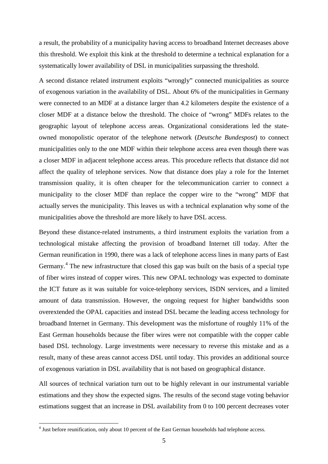a result, the probability of a municipality having access to broadband Internet decreases above this threshold. We exploit this kink at the threshold to determine a technical explanation for a systematically lower availability of DSL in municipalities surpassing the threshold.

A second distance related instrument exploits "wrongly" connected municipalities as source of exogenous variation in the availability of DSL. About 6% of the municipalities in Germany were connected to an MDF at a distance larger than 4.2 kilometers despite the existence of a closer MDF at a distance below the threshold. The choice of "wrong" MDFs relates to the geographic layout of telephone access areas. Organizational considerations led the stateowned monopolistic operator of the telephone network (*Deutsche Bundespost*) to connect municipalities only to the one MDF within their telephone access area even though there was a closer MDF in adjacent telephone access areas. This procedure reflects that distance did not affect the quality of telephone services. Now that distance does play a role for the Internet transmission quality, it is often cheaper for the telecommunication carrier to connect a municipality to the closer MDF than replace the copper wire to the "wrong" MDF that actually serves the municipality. This leaves us with a technical explanation why some of the municipalities above the threshold are more likely to have DSL access.

Beyond these distance-related instruments, a third instrument exploits the variation from a technological mistake affecting the provision of broadband Internet till today. After the German reunification in 1990, there was a lack of telephone access lines in many parts of East Germany.<sup>[4](#page-4-2)</sup> The new infrastructure that closed this gap was built on the basis of a special type of fiber wires instead of copper wires. This new OPAL technology was expected to dominate the ICT future as it was suitable for voice-telephony services, ISDN services, and a limited amount of data transmission. However, the ongoing request for higher bandwidths soon overextended the OPAL capacities and instead DSL became the leading access technology for broadband Internet in Germany. This development was the misfortune of roughly 11% of the East German households because the fiber wires were not compatible with the copper cable based DSL technology. Large investments were necessary to reverse this mistake and as a result, many of these areas cannot access DSL until today. This provides an additional source of exogenous variation in DSL availability that is not based on geographical distance.

All sources of technical variation turn out to be highly relevant in our instrumental variable estimations and they show the expected signs. The results of the second stage voting behavior estimations suggest that an increase in DSL availability from 0 to 100 percent decreases voter

<span id="page-5-0"></span> <sup>4</sup> Just before reunification, only about 10 percent of the East German households had telephone access.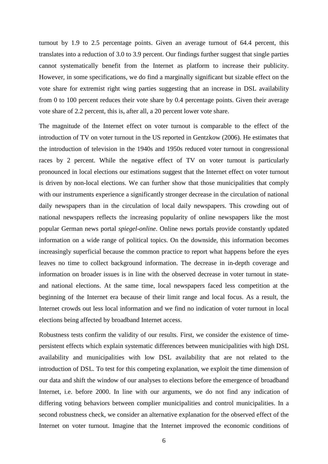turnout by 1.9 to 2.5 percentage points. Given an average turnout of 64.4 percent, this translates into a reduction of 3.0 to 3.9 percent. Our findings further suggest that single parties cannot systematically benefit from the Internet as platform to increase their publicity. However, in some specifications, we do find a marginally significant but sizable effect on the vote share for extremist right wing parties suggesting that an increase in DSL availability from 0 to 100 percent reduces their vote share by 0.4 percentage points. Given their average vote share of 2.2 percent, this is, after all, a 20 percent lower vote share.

The magnitude of the Internet effect on voter turnout is comparable to the effect of the introduction of TV on voter turnout in the US reported in Gentzkow (2006). He estimates that the introduction of television in the 1940s and 1950s reduced voter turnout in congressional races by 2 percent. While the negative effect of TV on voter turnout is particularly pronounced in local elections our estimations suggest that the Internet effect on voter turnout is driven by non-local elections. We can further show that those municipalities that comply with our instruments experience a significantly stronger decrease in the circulation of national daily newspapers than in the circulation of local daily newspapers. This crowding out of national newspapers reflects the increasing popularity of online newspapers like the most popular German news portal *spiegel-online*. Online news portals provide constantly updated information on a wide range of political topics. On the downside, this information becomes increasingly superficial because the common practice to report what happens before the eyes leaves no time to collect background information. The decrease in in-depth coverage and information on broader issues is in line with the observed decrease in voter turnout in stateand national elections. At the same time, local newspapers faced less competition at the beginning of the Internet era because of their limit range and local focus. As a result, the Internet crowds out less local information and we find no indication of voter turnout in local elections being affected by broadband Internet access.

Robustness tests confirm the validity of our results. First, we consider the existence of timepersistent effects which explain systematic differences between municipalities with high DSL availability and municipalities with low DSL availability that are not related to the introduction of DSL. To test for this competing explanation, we exploit the time dimension of our data and shift the window of our analyses to elections before the emergence of broadband Internet, i.e. before 2000. In line with our arguments, we do not find any indication of differing voting behaviors between complier municipalities and control municipalities. In a second robustness check, we consider an alternative explanation for the observed effect of the Internet on voter turnout. Imagine that the Internet improved the economic conditions of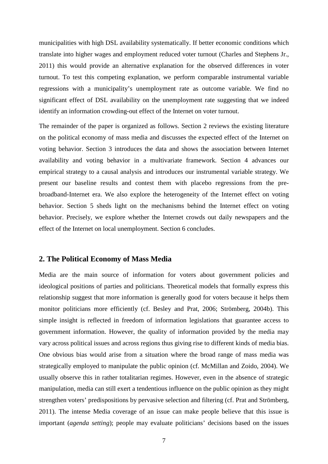municipalities with high DSL availability systematically. If better economic conditions which translate into higher wages and employment reduced voter turnout (Charles and Stephens Jr., 2011) this would provide an alternative explanation for the observed differences in voter turnout. To test this competing explanation, we perform comparable instrumental variable regressions with a municipality's unemployment rate as outcome variable. We find no significant effect of DSL availability on the unemployment rate suggesting that we indeed identify an information crowding-out effect of the Internet on voter turnout.

The remainder of the paper is organized as follows. Section 2 reviews the existing literature on the political economy of mass media and discusses the expected effect of the Internet on voting behavior. Section 3 introduces the data and shows the association between Internet availability and voting behavior in a multivariate framework. Section 4 advances our empirical strategy to a causal analysis and introduces our instrumental variable strategy. We present our baseline results and contest them with placebo regressions from the prebroadband-Internet era. We also explore the heterogeneity of the Internet effect on voting behavior. Section 5 sheds light on the mechanisms behind the Internet effect on voting behavior. Precisely, we explore whether the Internet crowds out daily newspapers and the effect of the Internet on local unemployment. Section 6 concludes.

## **2. The Political Economy of Mass Media**

Media are the main source of information for voters about government policies and ideological positions of parties and politicians. Theoretical models that formally express this relationship suggest that more information is generally good for voters because it helps them monitor politicians more efficiently (cf. Besley and Prat, 2006; Strömberg, 2004b). This simple insight is reflected in freedom of information legislations that guarantee access to government information. However, the quality of information provided by the media may vary across political issues and across regions thus giving rise to different kinds of media bias. One obvious bias would arise from a situation where the broad range of mass media was strategically employed to manipulate the public opinion (cf. McMillan and Zoido, 2004). We usually observe this in rather totalitarian regimes. However, even in the absence of strategic manipulation, media can still exert a tendentious influence on the public opinion as they might strengthen voters' predispositions by pervasive selection and filtering (cf. Prat and Strömberg, 2011). The intense Media coverage of an issue can make people believe that this issue is important (*agenda setting*); people may evaluate politicians' decisions based on the issues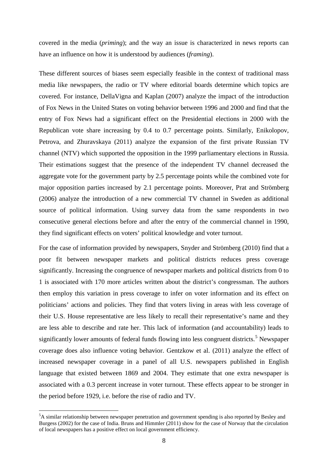covered in the media (*priming*); and the way an issue is characterized in news reports can have an influence on how it is understood by audiences (*framing*).

These different sources of biases seem especially feasible in the context of traditional mass media like newspapers, the radio or TV where editorial boards determine which topics are covered. For instance, DellaVigna and Kaplan (2007) analyze the impact of the introduction of Fox News in the United States on voting behavior between 1996 and 2000 and find that the entry of Fox News had a significant effect on the Presidential elections in 2000 with the Republican vote share increasing by 0.4 to 0.7 percentage points. Similarly, Enikolopov, Petrova, and Zhuravskaya (2011) analyze the expansion of the first private Russian TV channel (NTV) which supported the opposition in the 1999 parliamentary elections in Russia. Their estimations suggest that the presence of the independent TV channel decreased the aggregate vote for the government party by 2.5 percentage points while the combined vote for major opposition parties increased by 2.1 percentage points. Moreover, Prat and Strömberg (2006) analyze the introduction of a new commercial TV channel in Sweden as additional source of political information. Using survey data from the same respondents in two consecutive general elections before and after the entry of the commercial channel in 1990, they find significant effects on voters' political knowledge and voter turnout.

For the case of information provided by newspapers, Snyder and Strömberg (2010) find that a poor fit between newspaper markets and political districts reduces press coverage significantly. Increasing the congruence of newspaper markets and political districts from 0 to 1 is associated with 170 more articles written about the district's congressman. The authors then employ this variation in press coverage to infer on voter information and its effect on politicians' actions and policies. They find that voters living in areas with less coverage of their U.S. House representative are less likely to recall their representative's name and they are less able to describe and rate her. This lack of information (and accountability) leads to significantly lower amounts of federal funds flowing into less congruent districts.<sup>[5](#page-5-0)</sup> Newspaper coverage does also influence voting behavior. Gentzkow et al. (2011) analyze the effect of increased newspaper coverage in a panel of all U.S. newspapers published in English language that existed between 1869 and 2004. They estimate that one extra newspaper is associated with a 0.3 percent increase in voter turnout. These effects appear to be stronger in the period before 1929, i.e. before the rise of radio and TV.

<span id="page-8-0"></span> <sup>5</sup> <sup>5</sup>A similar relationship between newspaper penetration and government spending is also reported by Besley and Burgess (2002) for the case of India. Bruns and Himmler (2011) show for the case of Norway that the circulation of local newspapers has a positive effect on local government efficiency.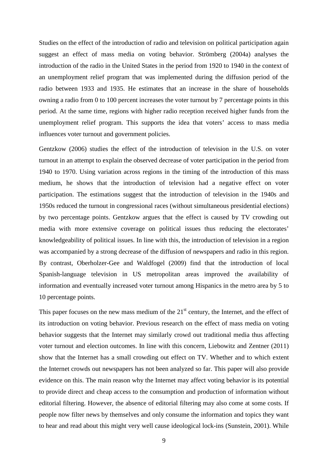Studies on the effect of the introduction of radio and television on political participation again suggest an effect of mass media on voting behavior. Strömberg (2004a) analyses the introduction of the radio in the United States in the period from 1920 to 1940 in the context of an unemployment relief program that was implemented during the diffusion period of the radio between 1933 and 1935. He estimates that an increase in the share of households owning a radio from 0 to 100 percent increases the voter turnout by 7 percentage points in this period. At the same time, regions with higher radio reception received higher funds from the unemployment relief program. This supports the idea that voters' access to mass media influences voter turnout and government policies.

Gentzkow (2006) studies the effect of the introduction of television in the U.S. on voter turnout in an attempt to explain the observed decrease of voter participation in the period from 1940 to 1970. Using variation across regions in the timing of the introduction of this mass medium, he shows that the introduction of television had a negative effect on voter participation. The estimations suggest that the introduction of television in the 1940s and 1950s reduced the turnout in congressional races (without simultaneous presidential elections) by two percentage points. Gentzkow argues that the effect is caused by TV crowding out media with more extensive coverage on political issues thus reducing the electorates' knowledgeability of political issues. In line with this, the introduction of television in a region was accompanied by a strong decrease of the diffusion of newspapers and radio in this region. By contrast, Oberholzer-Gee and Waldfogel (2009) find that the introduction of local Spanish-language television in US metropolitan areas improved the availability of information and eventually increased voter turnout among Hispanics in the metro area by 5 to 10 percentage points.

This paper focuses on the new mass medium of the  $21<sup>st</sup>$  century, the Internet, and the effect of its introduction on voting behavior. Previous research on the effect of mass media on voting behavior suggests that the Internet may similarly crowd out traditional media thus affecting voter turnout and election outcomes. In line with this concern, Liebowitz and Zentner (2011) show that the Internet has a small crowding out effect on TV. Whether and to which extent the Internet crowds out newspapers has not been analyzed so far. This paper will also provide evidence on this. The main reason why the Internet may affect voting behavior is its potential to provide direct and cheap access to the consumption and production of information without editorial filtering. However, the absence of editorial filtering may also come at some costs. If people now filter news by themselves and only consume the information and topics they want to hear and read about this might very well cause ideological lock-ins (Sunstein, 2001). While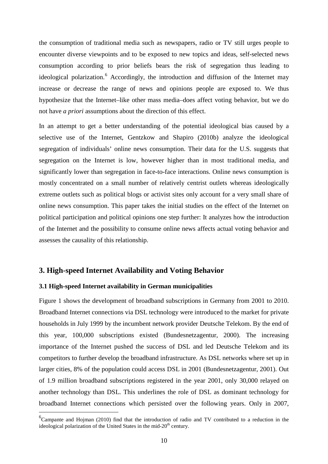the consumption of traditional media such as newspapers, radio or TV still urges people to encounter diverse viewpoints and to be exposed to new topics and ideas, self-selected news consumption according to prior beliefs bears the risk of segregation thus leading to ideological polarization.<sup>[6](#page-8-0)</sup> Accordingly, the introduction and diffusion of the Internet may increase or decrease the range of news and opinions people are exposed to. We thus hypothesize that the Internet–like other mass media–does affect voting behavior, but we do not have *a priori* assumptions about the direction of this effect.

In an attempt to get a better understanding of the potential ideological bias caused by a selective use of the Internet, Gentzkow and Shapiro (2010b) analyze the ideological segregation of individuals' online news consumption. Their data for the U.S. suggests that segregation on the Internet is low, however higher than in most traditional media, and significantly lower than segregation in face-to-face interactions. Online news consumption is mostly concentrated on a small number of relatively centrist outlets whereas ideologically extreme outlets such as political blogs or activist sites only account for a very small share of online news consumption. This paper takes the initial studies on the effect of the Internet on political participation and political opinions one step further: It analyzes how the introduction of the Internet and the possibility to consume online news affects actual voting behavior and assesses the causality of this relationship.

## **3. High-speed Internet Availability and Voting Behavior**

### **3.1 High-speed Internet availability in German municipalities**

Figure 1 shows the development of broadband subscriptions in Germany from 2001 to 2010. Broadband Internet connections via DSL technology were introduced to the market for private households in July 1999 by the incumbent network provider Deutsche Telekom. By the end of this year, 100,000 subscriptions existed (Bundesnetzagentur, 2000). The increasing importance of the Internet pushed the success of DSL and led Deutsche Telekom and its competitors to further develop the broadband infrastructure. As DSL networks where set up in larger cities, 8% of the population could access DSL in 2001 (Bundesnetzagentur, 2001). Out of 1.9 million broadband subscriptions registered in the year 2001, only 30,000 relayed on another technology than DSL. This underlines the role of DSL as dominant technology for broadband Internet connections which persisted over the following years. Only in 2007,

<span id="page-10-0"></span><sup>&</sup>lt;sup>6</sup>Campante and Hojman (2010) find that the introduction of radio and TV contributed to a reduction in the ideological polarization of the United States in the mid- $20<sup>th</sup>$  century.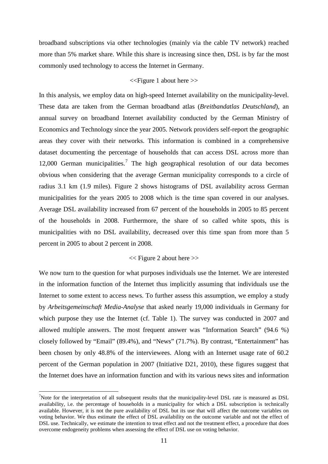broadband subscriptions via other technologies (mainly via the cable TV network) reached more than 5% market share. While this share is increasing since then, DSL is by far the most commonly used technology to access the Internet in Germany.

## <<Figure 1 about here >>

In this analysis, we employ data on high-speed Internet availability on the municipality-level. These data are taken from the German broadband atlas (*Breitbandatlas Deutschland*), an annual survey on broadband Internet availability conducted by the German Ministry of Economics and Technology since the year 2005. Network providers self-report the geographic areas they cover with their networks. This information is combined in a comprehensive dataset documenting the percentage of households that can access DSL across more than 12,000 German municipalities.<sup>[7](#page-10-0)</sup> The high geographical resolution of our data becomes obvious when considering that the average German municipality corresponds to a circle of radius 3.1 km (1.9 miles). Figure 2 shows histograms of DSL availability across German municipalities for the years 2005 to 2008 which is the time span covered in our analyses. Average DSL availability increased from 67 percent of the households in 2005 to 85 percent of the households in 2008. Furthermore, the share of so called white spots, this is municipalities with no DSL availability, decreased over this time span from more than 5 percent in 2005 to about 2 percent in 2008.

## << Figure 2 about here >>

We now turn to the question for what purposes individuals use the Internet. We are interested in the information function of the Internet thus implicitly assuming that individuals use the Internet to some extent to access news. To further assess this assumption, we employ a study by *Arbeitsgemeinschaft Media-Analyse* that asked nearly 19,000 individuals in Germany for which purpose they use the Internet (cf. Table 1). The survey was conducted in 2007 and allowed multiple answers. The most frequent answer was "Information Search" (94.6 %) closely followed by "Email" (89.4%), and "News" (71.7%). By contrast, "Entertainment" has been chosen by only 48.8% of the interviewees. Along with an Internet usage rate of 60.2 percent of the German population in 2007 (Initiative D21, 2010), these figures suggest that the Internet does have an information function and with its various news sites and information

<span id="page-11-0"></span><sup>-&</sup>lt;br>7 <sup>7</sup>Note for the interpretation of all subsequent results that the municipality-level DSL rate is measured as DSL availability, i.e. the percentage of households in a municipality for which a DSL subscription is technically available. However, it is not the pure availability of DSL but its use that will affect the outcome variables on voting behavior. We thus estimate the effect of DSL availability on the outcome variable and not the effect of DSL use. Technically, we estimate the intention to treat effect and not the treatment effect, a procedure that does overcome endogeneity problems when assessing the effect of DSL use on voting behavior.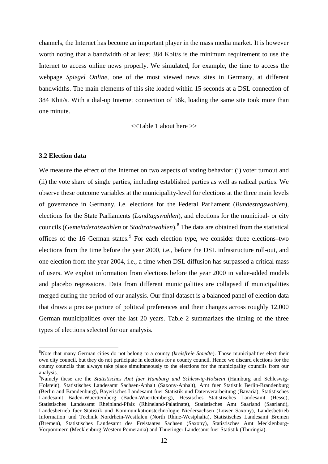channels, the Internet has become an important player in the mass media market. It is however worth noting that a bandwidth of at least 384 Kbit/s is the minimum requirement to use the Internet to access online news properly. We simulated, for example, the time to access the webpage *Spiegel Online*, one of the most viewed news sites in Germany, at different bandwidths. The main elements of this site loaded within 15 seconds at a DSL connection of 384 Kbit/s. With a dial-up Internet connection of 56k, loading the same site took more than one minute.

<<Table 1 about here >>

## **3.2 Election data**

We measure the effect of the Internet on two aspects of voting behavior: (i) voter turnout and (ii) the vote share of single parties, including established parties as well as radical parties. We observe these outcome variables at the municipality-level for elections at the three main levels of governance in Germany, i.e. elections for the Federal Parliament (*Bundestagswahlen*), elections for the State Parliaments (*Landtagswahlen*), and elections for the municipal- or city councils (*Gemeinderatswahlen* or *Stadtratswahlen*). [8](#page-11-0) The data are obtained from the statistical offices of the 16 German states.<sup>[9](#page-12-0)</sup> For each election type, we consider three elections–two elections from the time before the year 2000, i.e., before the DSL infrastructure roll-out, and one election from the year 2004, i.e., a time when DSL diffusion has surpassed a critical mass of users. We exploit information from elections before the year 2000 in value-added models and placebo regressions. Data from different municipalities are collapsed if municipalities merged during the period of our analysis. Our final dataset is a balanced panel of election data that draws a precise picture of political preferences and their changes across roughly 12,000 German municipalities over the last 20 years. Table 2 summarizes the timing of the three types of elections selected for our analysis.

 <sup>8</sup> <sup>8</sup>Note that many German cities do not belong to a county (*kreisfreie Staedte*). Those municipalities elect their own city council, but they do not participate in elections for a county council. Hence we discard elections for the county councils that always take place simultaneously to the elections for the municipality councils from our analysis.

<span id="page-12-1"></span><span id="page-12-0"></span><sup>9</sup> Namely these are the *Statistisches Amt fuer Hamburg und Schleswig-Holstein* (Hamburg and Schleswig-Holstein), Statistisches Landesamt Sachsen-Anhalt (Saxony-Anhalt), Amt fuer Statistik Berlin-Brandenburg (Berlin and Brandenburg), Bayerisches Landesamt fuer Statistik und Datenverarbeitung (Bavaria), Statistisches Landesamt Baden-Wuerttemberg (Baden-Wuerttemberg), Hessisches Statistisches Landesamt (Hesse), Statistisches Landesamt Rheinland-Pfalz (Rhineland-Palatinate), Statistisches Amt Saarland (Saarland), Landesbetrieb fuer Statistik und Kommunikationstechnologie Niedersachsen (Lower Saxony), Landesbetrieb Information und Technik Nordrhein-Westfalen (North Rhine-Westphalia), Statistisches Landesamt Bremen (Bremen), Statistisches Landesamt des Freistaates Sachsen (Saxony), Statistisches Amt Mecklenburg-Vorpommern (Mecklenburg-Western Pomerania) and Thueringer Landesamt fuer Statistik (Thuringia).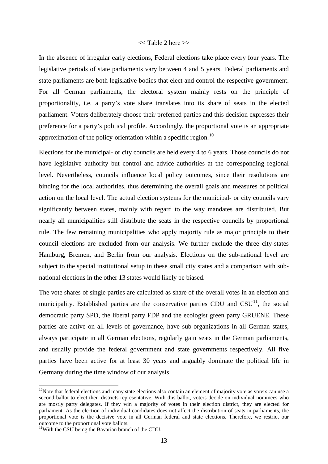## $<<$  Table 2 here  $>>$

In the absence of irregular early elections, Federal elections take place every four years. The legislative periods of state parliaments vary between 4 and 5 years. Federal parliaments and state parliaments are both legislative bodies that elect and control the respective government. For all German parliaments, the electoral system mainly rests on the principle of proportionality, i.e. a party's vote share translates into its share of seats in the elected parliament. Voters deliberately choose their preferred parties and this decision expresses their preference for a party's political profile. Accordingly, the proportional vote is an appropriate approximation of the policy-orientation within a specific region.<sup>[10](#page-12-1)</sup>

Elections for the municipal- or city councils are held every 4 to 6 years. Those councils do not have legislative authority but control and advice authorities at the corresponding regional level. Nevertheless, councils influence local policy outcomes, since their resolutions are binding for the local authorities, thus determining the overall goals and measures of political action on the local level. The actual election systems for the municipal- or city councils vary significantly between states, mainly with regard to the way mandates are distributed. But nearly all municipalities still distribute the seats in the respective councils by proportional rule. The few remaining municipalities who apply majority rule as major principle to their council elections are excluded from our analysis. We further exclude the three city-states Hamburg, Bremen, and Berlin from our analysis. Elections on the sub-national level are subject to the special institutional setup in these small city states and a comparison with subnational elections in the other 13 states would likely be biased.

The vote shares of single parties are calculated as share of the overall votes in an election and municipality. Established parties are the conservative parties CDU and  $CSU<sup>11</sup>$ , the social democratic party SPD, the liberal party FDP and the ecologist green party GRUENE. These parties are active on all levels of governance, have sub-organizations in all German states, always participate in all German elections, regularly gain seats in the German parliaments, and usually provide the federal government and state governments respectively. All five parties have been active for at least 30 years and arguably dominate the political life in Germany during the time window of our analysis.

<span id="page-13-1"></span> $10$ Note that federal elections and many state elections also contain an element of majority vote as voters can use a second ballot to elect their districts representative. With this ballot, voters decide on individual nominees who are mostly party delegates. If they win a majority of votes in their election district, they are elected for parliament. As the election of individual candidates does not affect the distribution of seats in parliaments, the proportional vote is the decisive vote in all German federal and state elections. Therefore, we restrict our outcome to the proportional vote ballots.<br><sup>11</sup>With the CSU being the Bavarian branch of the CDU.

<span id="page-13-0"></span>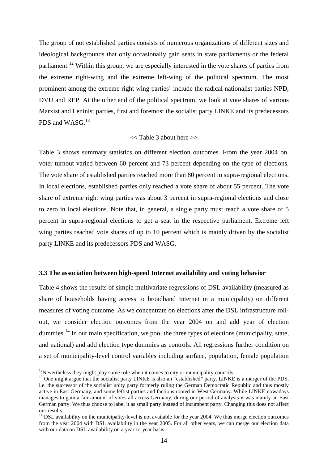The group of not established parties consists of numerous organizations of different sizes and ideological backgrounds that only occasionally gain seats in state parliaments or the federal parliament.<sup>[12](#page-13-1)</sup> Within this group, we are especially interested in the vote shares of parties from the extreme right-wing and the extreme left-wing of the political spectrum. The most prominent among the extreme right wing parties' include the radical nationalist parties NPD, DVU and REP. At the other end of the political spectrum, we look at vote shares of various Marxist and Leninist parties, first and foremost the socialist party LINKE and its predecessors PDS and WASG.<sup>[13](#page-14-0)</sup>

## $<<$  Table 3 about here  $>>$

Table 3 shows summary statistics on different election outcomes. From the year 2004 on, voter turnout varied between 60 percent and 73 percent depending on the type of elections. The vote share of established parties reached more than 80 percent in supra-regional elections. In local elections, established parties only reached a vote share of about 55 percent. The vote share of extreme right wing parties was about 3 percent in supra-regional elections and close to zero in local elections. Note that, in general, a single party must reach a vote share of 5 percent in supra-regional elections to get a seat in the respective parliament. Extreme left wing parties reached vote shares of up to 10 percent which is mainly driven by the socialist party LINKE and its predecessors PDS and WASG.

#### **3.3 The association between high-speed Internet availability and voting behavior**

Table 4 shows the results of simple multivariate regressions of DSL availability (measured as share of households having access to broadband Internet in a municipality) on different measures of voting outcome. As we concentrate on elections after the DSL infrastructure rollout, we consider election outcomes from the year 2004 on and add year of election dummies.<sup>[14](#page-14-1)</sup> In our main specification, we pool the three types of elections (municipality, state, and national) and add election type dummies as controls. All regressions further condition on a set of municipality-level control variables including surface, population, female population

<span id="page-14-0"></span><sup>&</sup>lt;sup>12</sup>Nevertheless they might play some role when it comes to city or municipality councils.<br><sup>13</sup> One might argue that the socialist party LINKE is also an "established" party. LINKE is a merger of the PDS, i.e. the successor of the socialist unity party formerly ruling the German Democratic Republic and thus mostly active in East Germany, and some leftist parties and factions rooted in West Germany. While LINKE nowadays manages to gain a fair amount of votes all across Germany, during our period of analysis it was mainly an East German party. We thus choose to label it as small party instead of incumbent party. Changing this does not affect our results.

<span id="page-14-2"></span><span id="page-14-1"></span> $14$  DSL availability on the municipality-level is not available for the year 2004. We thus merge election outcomes from the year 2004 with DSL availability in the year 2005. For all other years, we can merge our election data with our data on DSL availability on a year-to-year basis.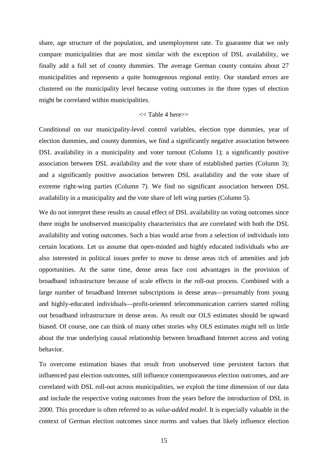share, age structure of the population, and unemployment rate. To guarantee that we only compare municipalities that are most similar with the exception of DSL availability, we finally add a full set of county dummies. The average German county contains about 27 municipalities and represents a quite homogenous regional entity. Our standard errors are clustered on the municipality level because voting outcomes in the three types of election might be correlated within municipalities.

## $<<$  Table 4 here $>>$

Conditional on our municipality-level control variables, election type dummies, year of election dummies, and county dummies, we find a significantly negative association between DSL availability in a municipality and voter turnout (Column 1); a significantly positive association between DSL availability and the vote share of established parties (Column 3); and a significantly positive association between DSL availability and the vote share of extreme right-wing parties (Column 7). We find no significant association between DSL availability in a municipality and the vote share of left wing parties (Column 5).

We do not interpret these results as causal effect of DSL availability on voting outcomes since there might be unobserved municipality characteristics that are correlated with both the DSL availability and voting outcomes. Such a bias would arise from a selection of individuals into certain locations. Let us assume that open-minded and highly educated individuals who are also interested in political issues prefer to move to dense areas rich of amenities and job opportunities. At the same time, dense areas face cost advantages in the provision of broadband infrastructure because of scale effects in the roll-out process. Combined with a large number of broadband Internet subscriptions in dense areas—presumably from young and highly-educated individuals—profit-oriented telecommunication carriers started rolling out broadband infrastructure in dense areas. As result our OLS estimates should be upward biased. Of course, one can think of many other stories why OLS estimates might tell us little about the true underlying causal relationship between broadband Internet access and voting behavior.

To overcome estimation biases that result from unobserved time persistent factors that influenced past election outcomes, still influence contemporaneous election outcomes, and are correlated with DSL roll-out across municipalities, we exploit the time dimension of our data and include the respective voting outcomes from the years before the introduction of DSL in 2000. This procedure is often referred to as *value-added model*. It is especially valuable in the context of German election outcomes since norms and values that likely influence election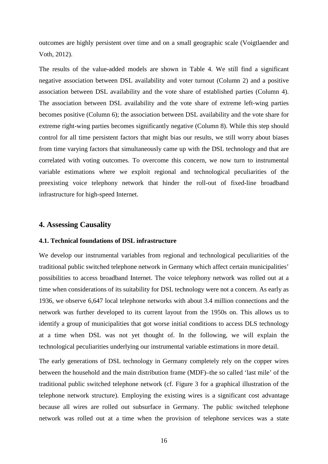outcomes are highly persistent over time and on a small geographic scale (Voigtlaender and Voth, 2012).

The results of the value-added models are shown in Table 4. We still find a significant negative association between DSL availability and voter turnout (Column 2) and a positive association between DSL availability and the vote share of established parties (Column 4). The association between DSL availability and the vote share of extreme left-wing parties becomes positive (Column 6); the association between DSL availability and the vote share for extreme right-wing parties becomes significantly negative (Column 8). While this step should control for all time persistent factors that might bias our results, we still worry about biases from time varying factors that simultaneously came up with the DSL technology and that are correlated with voting outcomes. To overcome this concern, we now turn to instrumental variable estimations where we exploit regional and technological peculiarities of the preexisting voice telephony network that hinder the roll-out of fixed-line broadband infrastructure for high-speed Internet.

## **4. Assessing Causality**

## **4.1. Technical foundations of DSL infrastructure**

We develop our instrumental variables from regional and technological peculiarities of the traditional public switched telephone network in Germany which affect certain municipalities' possibilities to access broadband Internet. The voice telephony network was rolled out at a time when considerations of its suitability for DSL technology were not a concern. As early as 1936, we observe 6,647 local telephone networks with about 3.4 million connections and the network was further developed to its current layout from the 1950s on. This allows us to identify a group of municipalities that got worse initial conditions to access DLS technology at a time when DSL was not yet thought of. In the following, we will explain the technological peculiarities underlying our instrumental variable estimations in more detail.

The early generations of DSL technology in Germany completely rely on the copper wires between the household and the main distribution frame (MDF)–the so called 'last mile' of the traditional public switched telephone network (cf. Figure 3 for a graphical illustration of the telephone network structure). Employing the existing wires is a significant cost advantage because all wires are rolled out subsurface in Germany. The public switched telephone network was rolled out at a time when the provision of telephone services was a state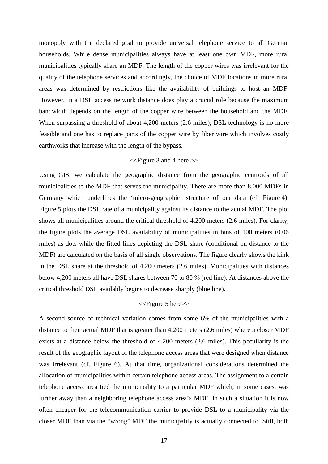monopoly with the declared goal to provide universal telephone service to all German households. While dense municipalities always have at least one own MDF, more rural municipalities typically share an MDF. The length of the copper wires was irrelevant for the quality of the telephone services and accordingly, the choice of MDF locations in more rural areas was determined by restrictions like the availability of buildings to host an MDF. However, in a DSL access network distance does play a crucial role because the maximum bandwidth depends on the length of the copper wire between the household and the MDF. When surpassing a threshold of about 4,200 meters (2.6 miles), DSL technology is no more feasible and one has to replace parts of the copper wire by fiber wire which involves costly earthworks that increase with the length of the bypass.

## <<Figure 3 and 4 here >>

Using GIS, we calculate the geographic distance from the geographic centroids of all municipalities to the MDF that serves the municipality. There are more than 8,000 MDFs in Germany which underlines the 'micro-geographic' structure of our data (cf. Figure 4). Figure 5 plots the DSL rate of a municipality against its distance to the actual MDF. The plot shows all municipalities around the critical threshold of 4,200 meters (2.6 miles). For clarity, the figure plots the average DSL availability of municipalities in bins of 100 meters (0.06 miles) as dots while the fitted lines depicting the DSL share (conditional on distance to the MDF) are calculated on the basis of all single observations. The figure clearly shows the kink in the DSL share at the threshold of 4,200 meters (2.6 miles). Municipalities with distances below 4,200 meters all have DSL shares between 70 to 80 % (red line). At distances above the critical threshold DSL availably begins to decrease sharply (blue line).

## <<Figure 5 here>>

A second source of technical variation comes from some 6% of the municipalities with a distance to their actual MDF that is greater than 4,200 meters (2.6 miles) where a closer MDF exists at a distance below the threshold of 4,200 meters (2.6 miles). This peculiarity is the result of the geographic layout of the telephone access areas that were designed when distance was irrelevant (cf. Figure 6). At that time, organizational considerations determined the allocation of municipalities within certain telephone access areas. The assignment to a certain telephone access area tied the municipality to a particular MDF which, in some cases, was further away than a neighboring telephone access area's MDF. In such a situation it is now often cheaper for the telecommunication carrier to provide DSL to a municipality via the closer MDF than via the "wrong" MDF the municipality is actually connected to. Still, both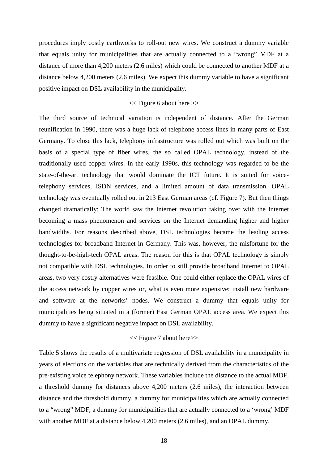procedures imply costly earthworks to roll-out new wires. We construct a dummy variable that equals unity for municipalities that are actually connected to a "wrong" MDF at a distance of more than 4,200 meters (2.6 miles) which could be connected to another MDF at a distance below 4,200 meters (2.6 miles). We expect this dummy variable to have a significant positive impact on DSL availability in the municipality.

## $<<$  Figure 6 about here  $>>$

The third source of technical variation is independent of distance. After the German reunification in 1990, there was a huge lack of telephone access lines in many parts of East Germany. To close this lack, telephony infrastructure was rolled out which was built on the basis of a special type of fiber wires, the so called OPAL technology, instead of the traditionally used copper wires. In the early 1990s, this technology was regarded to be the state-of-the-art technology that would dominate the ICT future. It is suited for voicetelephony services, ISDN services, and a limited amount of data transmission. OPAL technology was eventually rolled out in 213 East German areas (cf. Figure 7). But then things changed dramatically: The world saw the Internet revolution taking over with the Internet becoming a mass phenomenon and services on the Internet demanding higher and higher bandwidths. For reasons described above, DSL technologies became the leading access technologies for broadband Internet in Germany. This was, however, the misfortune for the thought-to-be-high-tech OPAL areas. The reason for this is that OPAL technology is simply not compatible with DSL technologies. In order to still provide broadband Internet to OPAL areas, two very costly alternatives were feasible. One could either replace the OPAL wires of the access network by copper wires or, what is even more expensive; install new hardware and software at the networks' nodes. We construct a dummy that equals unity for municipalities being situated in a (former) East German OPAL access area. We expect this dummy to have a significant negative impact on DSL availability.

## << Figure 7 about here>>

Table 5 shows the results of a multivariate regression of DSL availability in a municipality in years of elections on the variables that are technically derived from the characteristics of the pre-existing voice telephony network. These variables include the distance to the actual MDF, a threshold dummy for distances above 4,200 meters (2.6 miles), the interaction between distance and the threshold dummy, a dummy for municipalities which are actually connected to a "wrong" MDF, a dummy for municipalities that are actually connected to a 'wrong' MDF with another MDF at a distance below 4,200 meters (2.6 miles), and an OPAL dummy.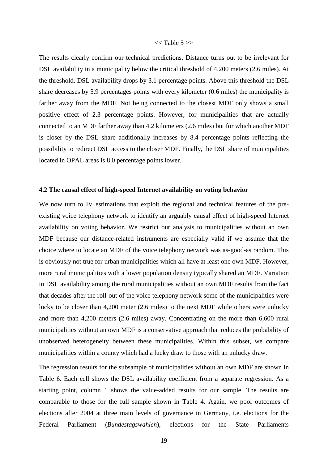## $<<$  Table 5 $>>$

The results clearly confirm our technical predictions. Distance turns out to be irrelevant for DSL availability in a municipality below the critical threshold of 4,200 meters (2.6 miles). At the threshold, DSL availability drops by 3.1 percentage points. Above this threshold the DSL share decreases by 5.9 percentages points with every kilometer (0.6 miles) the municipality is farther away from the MDF. Not being connected to the closest MDF only shows a small positive effect of 2.3 percentage points. However, for municipalities that are actually connected to an MDF farther away than 4.2 kilometers (2.6 miles) but for which another MDF is closer by the DSL share additionally increases by 8.4 percentage points reflecting the possibility to redirect DSL access to the closer MDF. Finally, the DSL share of municipalities located in OPAL areas is 8.0 percentage points lower.

### **4.2 The causal effect of high-speed Internet availability on voting behavior**

We now turn to IV estimations that exploit the regional and technical features of the preexisting voice telephony network to identify an arguably causal effect of high-speed Internet availability on voting behavior. We restrict our analysis to municipalities without an own MDF because our distance-related instruments are especially valid if we assume that the choice where to locate an MDF of the voice telephony network was as-good-as random. This is obviously not true for urban municipalities which all have at least one own MDF. However, more rural municipalities with a lower population density typically shared an MDF. Variation in DSL availability among the rural municipalities without an own MDF results from the fact that decades after the roll-out of the voice telephony network some of the municipalities were lucky to be closer than 4,200 meter (2.6 miles) to the next MDF while others were unlucky and more than 4,200 meters (2.6 miles) away. Concentrating on the more than 6,600 rural municipalities without an own MDF is a conservative approach that reduces the probability of unobserved heterogeneity between these municipalities. Within this subset, we compare municipalities within a county which had a lucky draw to those with an unlucky draw.

The regression results for the subsample of municipalities without an own MDF are shown in Table 6. Each cell shows the DSL availability coefficient from a separate regression. As a starting point, column 1 shows the value-added results for our sample. The results are comparable to those for the full sample shown in Table 4. Again, we pool outcomes of elections after 2004 at three main levels of governance in Germany, i.e. elections for the Federal Parliament (*Bundestagswahlen*), elections for the State Parliaments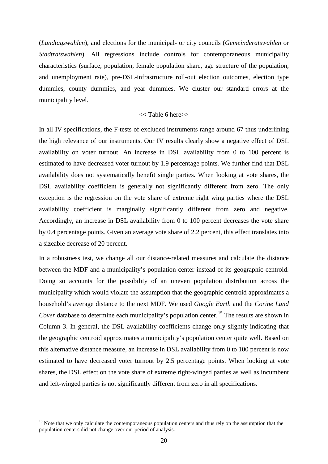(*Landtagswahlen*), and elections for the municipal- or city councils (*Gemeinderatswahlen* or *Stadtratswahlen*). All regressions include controls for contemporaneous municipality characteristics (surface, population, female population share, age structure of the population, and unemployment rate), pre-DSL-infrastructure roll-out election outcomes, election type dummies, county dummies, and year dummies. We cluster our standard errors at the municipality level.

## << Table 6 here>>

In all IV specifications, the F-tests of excluded instruments range around 67 thus underlining the high relevance of our instruments. Our IV results clearly show a negative effect of DSL availability on voter turnout. An increase in DSL availability from 0 to 100 percent is estimated to have decreased voter turnout by 1.9 percentage points. We further find that DSL availability does not systematically benefit single parties. When looking at vote shares, the DSL availability coefficient is generally not significantly different from zero. The only exception is the regression on the vote share of extreme right wing parties where the DSL availability coefficient is marginally significantly different from zero and negative. Accordingly, an increase in DSL availability from 0 to 100 percent decreases the vote share by 0.4 percentage points. Given an average vote share of 2.2 percent, this effect translates into a sizeable decrease of 20 percent.

In a robustness test, we change all our distance-related measures and calculate the distance between the MDF and a municipality's population center instead of its geographic centroid. Doing so accounts for the possibility of an uneven population distribution across the municipality which would violate the assumption that the geographic centroid approximates a household's average distance to the next MDF. We used *Google Earth* and the *Corine Land Cover* database to determine each municipality's population center.<sup>[15](#page-14-2)</sup> The results are shown in Column 3. In general, the DSL availability coefficients change only slightly indicating that the geographic centroid approximates a municipality's population center quite well. Based on this alternative distance measure, an increase in DSL availability from 0 to 100 percent is now estimated to have decreased voter turnout by 2.5 percentage points. When looking at vote shares, the DSL effect on the vote share of extreme right-winged parties as well as incumbent and left-winged parties is not significantly different from zero in all specifications.

<span id="page-20-0"></span><sup>&</sup>lt;sup>15</sup> Note that we only calculate the contemporaneous population centers and thus rely on the assumption that the population centers did not change over our period of analysis.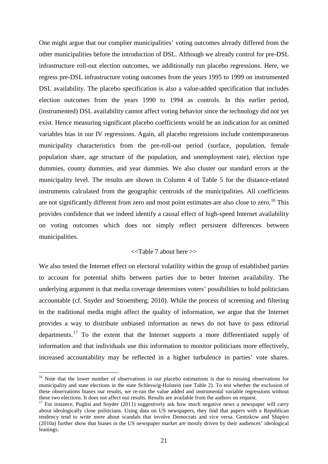One might argue that our complier municipalities' voting outcomes already differed from the other municipalities before the introduction of DSL. Although we already control for pre-DSL infrastructure roll-out election outcomes, we additionally run placebo regressions. Here, we regress pre-DSL infrastructure voting outcomes from the years 1995 to 1999 on instrumented DSL availability. The placebo specification is also a value-added specification that includes election outcomes from the years 1990 to 1994 as controls. In this earlier period, (instrumented) DSL availability cannot affect voting behavior since the technology did not yet exist. Hence measuring significant placebo coefficients would be an indication for an omitted variables bias in our IV regressions. Again, all placebo regressions include contemporaneous municipality characteristics from the pre-roll-out period (surface, population, female population share, age structure of the population, and unemployment rate), election type dummies, county dummies, and year dummies. We also cluster our standard errors at the municipality level. The results are shown in Column 4 of Table 5 for the distance-related instruments calculated from the geographic centroids of the municipalities. All coefficients are not significantly different from zero and most point estimates are also close to zero.<sup>[16](#page-20-0)</sup> This provides confidence that we indeed identify a causal effect of high-speed Internet availability on voting outcomes which does not simply reflect persistent differences between municipalities.

## $<<$ Table 7 about here  $>>$

We also tested the Internet effect on electoral volatility within the group of established parties to account for potential shifts between parties due to better Internet availability. The underlying argument is that media coverage determines voters' possibilities to hold politicians accountable (cf. Snyder and Stroemberg; 2010). While the process of screening and filtering in the traditional media might affect the quality of information, we argue that the Internet provides a way to distribute unbiased information as news do not have to pass editorial departments.<sup>[17](#page-21-0)</sup> To the extent that the Internet supports a more differentiated supply of information and that individuals use this information to monitor politicians more effectively, increased accountability may be reflected in a higher turbulence in parties' vote shares.

<sup>&</sup>lt;sup>16</sup> Note that the lower number of observations in our placebo estimations is due to missing observations for municipality and state elections in the state Schleswig-Holstein (see Table 2). To test whether the exclusion of these observations biases our results, we re-ran the value added and instrumental variable regressions without these two elections. It does not affect our results. Results are available from the authors on request.

<span id="page-21-1"></span><span id="page-21-0"></span><sup>&</sup>lt;sup>17</sup> For instance, Puglisi and Snyder (2011) suggestively ask how much negative news a newspaper will carry about ideologically close politicians. Using data on US newspapers, they find that papers with a Republican tendency tend to write more about scandals that involve Democrats and vice versa. Gentzkow and Shapiro (2010a) further show that biases in the US newspaper market are mostly driven by their audiences' ideological leanings.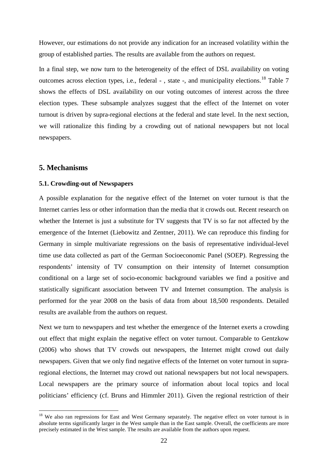However, our estimations do not provide any indication for an increased volatility within the group of established parties. The results are available from the authors on request.

In a final step, we now turn to the heterogeneity of the effect of DSL availability on voting outcomes across election types, i.e., federal -, state -, and municipality elections.<sup>[18](#page-21-1)</sup> Table 7 shows the effects of DSL availability on our voting outcomes of interest across the three election types. These subsample analyzes suggest that the effect of the Internet on voter turnout is driven by supra-regional elections at the federal and state level. In the next section, we will rationalize this finding by a crowding out of national newspapers but not local newspapers.

## **5. Mechanisms**

## **5.1. Crowding-out of Newspapers**

A possible explanation for the negative effect of the Internet on voter turnout is that the Internet carries less or other information than the media that it crowds out. Recent research on whether the Internet is just a substitute for TV suggests that TV is so far not affected by the emergence of the Internet (Liebowitz and Zentner, 2011). We can reproduce this finding for Germany in simple multivariate regressions on the basis of representative individual-level time use data collected as part of the German Socioeconomic Panel (SOEP). Regressing the respondents' intensity of TV consumption on their intensity of Internet consumption conditional on a large set of socio-economic background variables we find a positive and statistically significant association between TV and Internet consumption. The analysis is performed for the year 2008 on the basis of data from about 18,500 respondents. Detailed results are available from the authors on request.

Next we turn to newspapers and test whether the emergence of the Internet exerts a crowding out effect that might explain the negative effect on voter turnout. Comparable to Gentzkow (2006) who shows that TV crowds out newspapers, the Internet might crowd out daily newspapers. Given that we only find negative effects of the Internet on voter turnout in supraregional elections, the Internet may crowd out national newspapers but not local newspapers. Local newspapers are the primary source of information about local topics and local politicians' efficiency (cf. Bruns and Himmler 2011). Given the regional restriction of their

<span id="page-22-0"></span><sup>&</sup>lt;sup>18</sup> We also ran regressions for East and West Germany separately. The negative effect on voter turnout is in absolute terms significantly larger in the West sample than in the East sample. Overall, the coefficients are more precisely estimated in the West sample. The results are available from the authors upon request.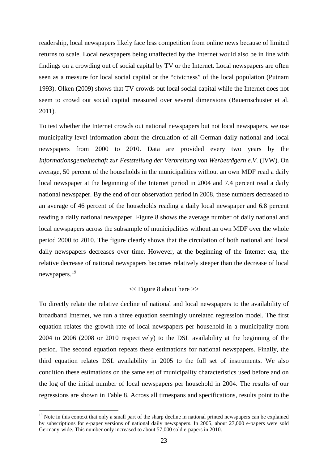readership, local newspapers likely face less competition from online news because of limited returns to scale. Local newspapers being unaffected by the Internet would also be in line with findings on a crowding out of social capital by TV or the Internet. Local newspapers are often seen as a measure for local social capital or the "civicness" of the local population (Putnam 1993). Olken (2009) shows that TV crowds out local social capital while the Internet does not seem to crowd out social capital measured over several dimensions (Bauernschuster et al. 2011).

To test whether the Internet crowds out national newspapers but not local newspapers, we use municipality-level information about the circulation of all German daily national and local newspapers from 2000 to 2010. Data are provided every two years by the *Informationsgemeinschaft zur Feststellung der Verbreitung von Werbeträgern e.V.* (IVW). On average, 50 percent of the households in the municipalities without an own MDF read a daily local newspaper at the beginning of the Internet period in 2004 and 7.4 percent read a daily national newspaper. By the end of our observation period in 2008, these numbers decreased to an average of 46 percent of the households reading a daily local newspaper and 6.8 percent reading a daily national newspaper. Figure 8 shows the average number of daily national and local newspapers across the subsample of municipalities without an own MDF over the whole period 2000 to 2010. The figure clearly shows that the circulation of both national and local daily newspapers decreases over time. However, at the beginning of the Internet era, the relative decrease of national newspapers becomes relatively steeper than the decrease of local newspapers.[19](#page-22-0)

## << Figure 8 about here >>

To directly relate the relative decline of national and local newspapers to the availability of broadband Internet, we run a three equation seemingly unrelated regression model. The first equation relates the growth rate of local newspapers per household in a municipality from 2004 to 2006 (2008 or 2010 respectively) to the DSL availability at the beginning of the period. The second equation repeats these estimations for national newspapers. Finally, the third equation relates DSL availability in 2005 to the full set of instruments. We also condition these estimations on the same set of municipality characteristics used before and on the log of the initial number of local newspapers per household in 2004. The results of our regressions are shown in Table 8. Across all timespans and specifications, results point to the

 $19$  Note in this context that only a small part of the sharp decline in national printed newspapers can be explained by subscriptions for e-paper versions of national daily newspapers. In 2005, about 27,000 e-papers were sold Germany-wide. This number only increased to about 57,000 sold e-papers in 2010.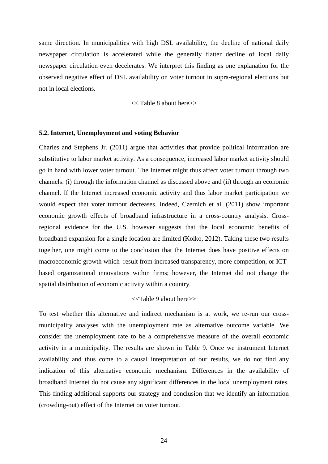same direction. In municipalities with high DSL availability, the decline of national daily newspaper circulation is accelerated while the generally flatter decline of local daily newspaper circulation even decelerates. We interpret this finding as one explanation for the observed negative effect of DSL availability on voter turnout in supra-regional elections but not in local elections.

<< Table 8 about here>>

## **5.2. Internet, Unemployment and voting Behavior**

Charles and Stephens Jr. (2011) argue that activities that provide political information are substitutive to labor market activity. As a consequence, increased labor market activity should go in hand with lower voter turnout. The Internet might thus affect voter turnout through two channels: (i) through the information channel as discussed above and (ii) through an economic channel. If the Internet increased economic activity and thus labor market participation we would expect that voter turnout decreases. Indeed, Czernich et al. (2011) show important economic growth effects of broadband infrastructure in a cross-country analysis. Crossregional evidence for the U.S. however suggests that the local economic benefits of broadband expansion for a single location are limited (Kolko, 2012). Taking these two results together, one might come to the conclusion that the Internet does have positive effects on macroeconomic growth which result from increased transparency, more competition, or ICTbased organizational innovations within firms; however, the Internet did not change the spatial distribution of economic activity within a country.

## <<Table 9 about here>>

To test whether this alternative and indirect mechanism is at work, we re-run our crossmunicipality analyses with the unemployment rate as alternative outcome variable. We consider the unemployment rate to be a comprehensive measure of the overall economic activity in a municipality. The results are shown in Table 9. Once we instrument Internet availability and thus come to a causal interpretation of our results, we do not find any indication of this alternative economic mechanism. Differences in the availability of broadband Internet do not cause any significant differences in the local unemployment rates. This finding additional supports our strategy and conclusion that we identify an information (crowding-out) effect of the Internet on voter turnout.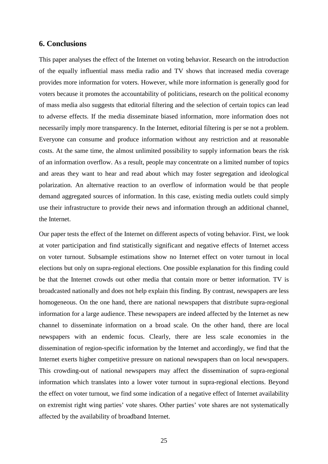## **6. Conclusions**

This paper analyses the effect of the Internet on voting behavior. Research on the introduction of the equally influential mass media radio and TV shows that increased media coverage provides more information for voters. However, while more information is generally good for voters because it promotes the accountability of politicians, research on the political economy of mass media also suggests that editorial filtering and the selection of certain topics can lead to adverse effects. If the media disseminate biased information, more information does not necessarily imply more transparency. In the Internet, editorial filtering is per se not a problem. Everyone can consume and produce information without any restriction and at reasonable costs. At the same time, the almost unlimited possibility to supply information bears the risk of an information overflow. As a result, people may concentrate on a limited number of topics and areas they want to hear and read about which may foster segregation and ideological polarization. An alternative reaction to an overflow of information would be that people demand aggregated sources of information. In this case, existing media outlets could simply use their infrastructure to provide their news and information through an additional channel, the Internet.

Our paper tests the effect of the Internet on different aspects of voting behavior. First, we look at voter participation and find statistically significant and negative effects of Internet access on voter turnout. Subsample estimations show no Internet effect on voter turnout in local elections but only on supra-regional elections. One possible explanation for this finding could be that the Internet crowds out other media that contain more or better information. TV is broadcasted nationally and does not help explain this finding. By contrast, newspapers are less homogeneous. On the one hand, there are national newspapers that distribute supra-regional information for a large audience. These newspapers are indeed affected by the Internet as new channel to disseminate information on a broad scale. On the other hand, there are local newspapers with an endemic focus. Clearly, there are less scale economies in the dissemination of region-specific information by the Internet and accordingly, we find that the Internet exerts higher competitive pressure on national newspapers than on local newspapers. This crowding-out of national newspapers may affect the dissemination of supra-regional information which translates into a lower voter turnout in supra-regional elections. Beyond the effect on voter turnout, we find some indication of a negative effect of Internet availability on extremist right wing parties' vote shares. Other parties' vote shares are not systematically affected by the availability of broadband Internet.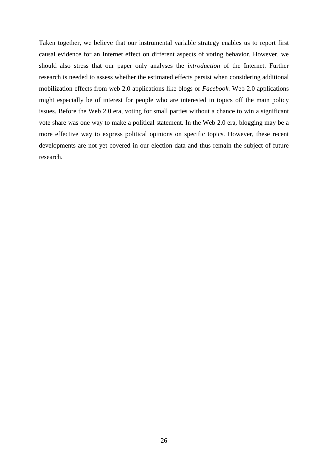Taken together, we believe that our instrumental variable strategy enables us to report first causal evidence for an Internet effect on different aspects of voting behavior. However, we should also stress that our paper only analyses the *introduction* of the Internet. Further research is needed to assess whether the estimated effects persist when considering additional mobilization effects from web 2.0 applications like blogs or *Facebook*. Web 2.0 applications might especially be of interest for people who are interested in topics off the main policy issues. Before the Web 2.0 era, voting for small parties without a chance to win a significant vote share was one way to make a political statement. In the Web 2.0 era, blogging may be a more effective way to express political opinions on specific topics. However, these recent developments are not yet covered in our election data and thus remain the subject of future research.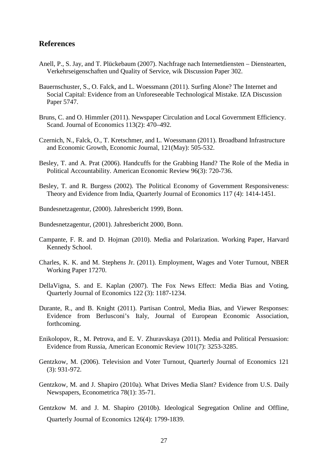## **References**

- Anell, P., S. Jay, and T. Plückebaum (2007). Nachfrage nach Internetdiensten Dienstearten, Verkehrseigenschaften und Quality of Service, wik Discussion Paper 302.
- Bauernschuster, S., O. Falck, and L. Woessmann (2011). Surfing Alone? The Internet and Social Capital: Evidence from an Unforeseeable Technological Mistake. IZA Discussion Paper 5747.
- Bruns, C. and O. Himmler (2011). Newspaper Circulation and Local Government Efficiency. Scand. Journal of Economics 113(2): 470–492.
- Czernich, N., Falck, O., T. Kretschmer, and L. Woessmann (2011). Broadband Infrastructure and Economic Growth, Economic Journal, 121(May): 505-532.
- Besley, T. and A. Prat (2006). Handcuffs for the Grabbing Hand? The Role of the Media in Political Accountability. American Economic Review 96(3): 720-736.
- Besley, T. and R. Burgess (2002). The Political Economy of Government Responsiveness: Theory and Evidence from India, Quarterly Journal of Economics 117 (4): 1414-1451.
- Bundesnetzagentur, (2000). Jahresbericht 1999, Bonn.
- Bundesnetzagentur, (2001). Jahresbericht 2000, Bonn.
- Campante, F. R. and D. Hojman (2010). Media and Polarization. Working Paper, Harvard Kennedy School.
- Charles, K. K. and M. Stephens Jr. (2011). Employment, Wages and Voter Turnout, NBER Working Paper 17270.
- DellaVigna, S. and E. Kaplan (2007). The Fox News Effect: Media Bias and Voting, Quarterly Journal of Economics 122 (3): 1187-1234.
- Durante, R., and B. Knight (2011). Partisan Control, Media Bias, and Viewer Responses: Evidence from Berlusconi's Italy, Journal of European Economic Association, forthcoming.
- Enikolopov, R., M. Petrova, and E. V. Zhuravskaya (2011). Media and Political Persuasion: Evidence from Russia, American Economic Review 101(7): 3253-3285.
- Gentzkow, M. (2006). Television and Voter Turnout, Quarterly Journal of Economics 121 (3): 931-972.
- Gentzkow, M. and J. Shapiro (2010a). What Drives Media Slant? Evidence from U.S. Daily Newspapers, Econometrica 78(1): 35-71.
- Gentzkow M. and J. M. Shapiro (2010b). Ideological Segregation Online and Offline, Quarterly Journal of Economics 126(4): 1799-1839.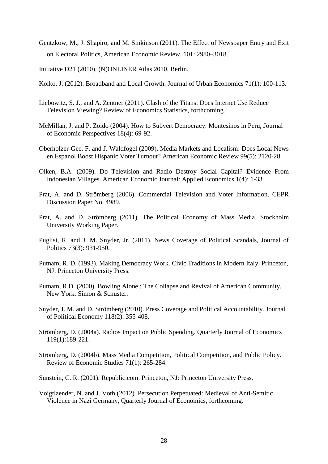Gentzkow, M., J. Shapiro, and M. Sinkinson (2011). The Effect of Newspaper Entry and Exit on Electoral Politics, American Economic Review, 101: 2980–3018.

Initiative D21 (2010). (N)ONLINER Atlas 2010. Berlin.

- Kolko, J. (2012). Broadband and Local Growth. Journal of Urban Economics 71(1): 100-113.
- Liebowitz, S. J., and A. Zentner (2011). Clash of the Titans: Does Internet Use Reduce Television Viewing? Review of Economics Statistics, forthcoming.
- McMillan, J. and P. Zoido (2004). How to Subvert Democracy: Montesinos in Peru, Journal of Economic Perspectives 18(4): 69-92.
- Oberholzer-Gee, F. and J. Waldfogel (2009). Media Markets and Localism: Does Local News en Espanol Boost Hispanic Voter Turnout? American Economic Review 99(5): 2120-28.
- Olken, B.A. (2009). Do Television and Radio Destroy Social Capital? Evidence From Indonesian Villages. American Economic Journal: Applied Economics 1(4): 1-33.
- Prat, A. and D. Strömberg (2006). Commercial Television and Voter Information. CEPR Discussion Paper No. 4989.
- Prat, A. and D. Strömberg (2011). The Political Economy of Mass Media. Stockholm University Working Paper.
- Puglisi, R. and J. M. Snyder, Jr. (2011). News Coverage of Political Scandals, Journal of Politics 73(3): 931-950.
- Putnam, R. D. (1993). Making Democracy Work. Civic Traditions in Modern Italy. Princeton, NJ: Princeton University Press.
- Putnam, R.D. (2000). Bowling Alone : The Collapse and Revival of American Community. New York: Simon & Schuster.
- Snyder, J. M. and D. Strömberg (2010). Press Coverage and Political Accountability. Journal of Political Economy 118(2): 355-408.
- Strömberg, D. (2004a). Radios Impact on Public Spending. Quarterly Journal of Economics 119(1):189-221.
- Strömberg, D. (2004b). Mass Media Competition, Political Competition, and Public Policy. Review of Economic Studies 71(1): 265-284.
- Sunstein, C. R. (2001). Republic.com. Princeton, NJ: Princeton University Press.
- Voigtlaender, N. and J. Voth (2012). Persecution Perpetuated: Medieval of Anti-Semitic Violence in Nazi Germany, Quarterly Journal of Economics, forthcoming.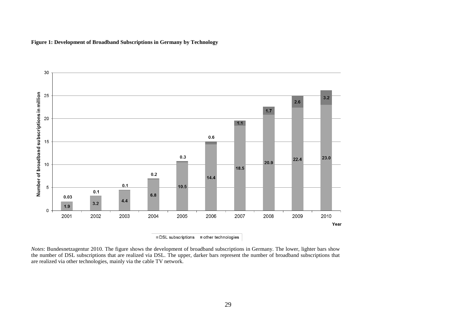**Figure 1: Development of Broadband Subscriptions in Germany by Technology**



*Notes*: Bundesnetzagentur 2010. The figure shows the development of broadband subscriptions in Germany. The lower, lighter bars show the number of DSL subscriptions that are realized via DSL. The upper, darker bars represent the number of broadband subscriptions that are realized via other technologies, mainly via the cable TV network.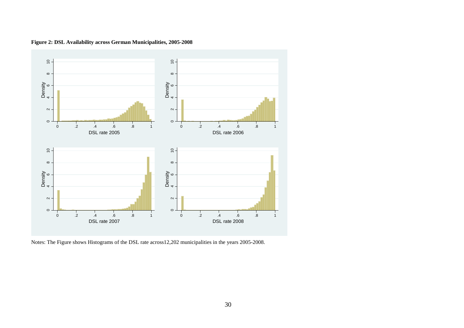![](_page_30_Figure_0.jpeg)

**Figure 2: DSL Availability across German Municipalities, 2005-2008**

Notes: The Figure shows Histograms of the DSL rate across12,202 municipalities in the years 2005-2008.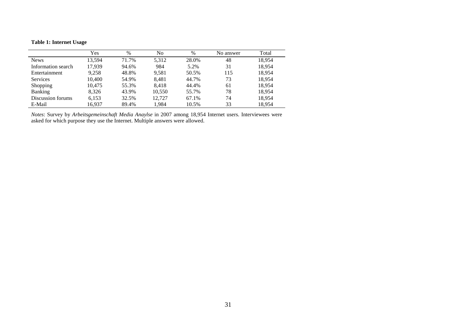## **Table 1: Internet Usage**

|                    | Yes    | $\%$  | No     | $\%$  | No answer | Total  |
|--------------------|--------|-------|--------|-------|-----------|--------|
| <b>News</b>        | 13.594 | 71.7% | 5,312  | 28.0% | 48        | 18,954 |
| Information search | 17.939 | 94.6% | 984    | 5.2%  | 31        | 18,954 |
| Entertainment      | 9,258  | 48.8% | 9,581  | 50.5% | 115       | 18,954 |
| <b>Services</b>    | 10.400 | 54.9% | 8,481  | 44.7% | 73        | 18,954 |
| Shopping           | 10,475 | 55.3% | 8,418  | 44.4% | 61        | 18,954 |
| <b>Banking</b>     | 8,326  | 43.9% | 10,550 | 55.7% | 78        | 18,954 |
| Discussion forums  | 6,153  | 32.5% | 12.727 | 67.1% | 74        | 18,954 |
| E-Mail             | 16,937 | 89.4% | 1,984  | 10.5% | 33        | 18,954 |
|                    |        |       |        |       |           |        |

*Notes*: Survey by *Arbeitsgemeinschaft Media Anaylse* in 2007 among 18,954 Internet users. Interviewees were asked for which purpose they use the Internet. Multiple answers were allowed.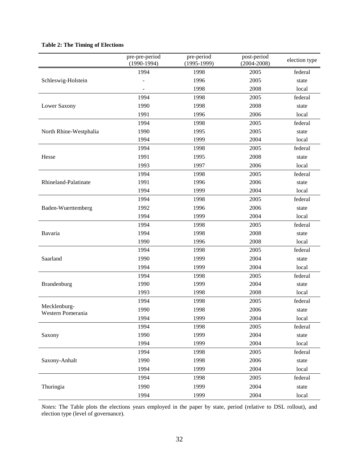#### **Table 2: The Timing of Elections**

|                                   | pre-pre-period<br>$(1990-1994)$ | pre-period<br>$(1995-1999)$ | post-period<br>$(2004 - 2008)$ | election type |
|-----------------------------------|---------------------------------|-----------------------------|--------------------------------|---------------|
|                                   | 1994                            | 1998                        | 2005                           | federal       |
| Schleswig-Holstein                |                                 | 1996                        | 2005                           | state         |
|                                   |                                 | 1998                        | 2008                           | local         |
|                                   | 1994                            | 1998                        | 2005                           | federal       |
| Lower Saxony                      | 1990                            | 1998                        | 2008                           | state         |
|                                   | 1991                            | 1996                        | 2006                           | local         |
|                                   | 1994                            | 1998                        | 2005                           | federal       |
| North Rhine-Westphalia            | 1990                            | 1995                        | 2005                           | state         |
|                                   | 1994                            | 1999                        | 2004                           | local         |
|                                   | 1994                            | 1998                        | 2005                           | federal       |
| Hesse                             | 1991                            | 1995                        | 2008                           | state         |
|                                   | 1993                            | 1997                        | 2006                           | local         |
|                                   | 1994                            | 1998                        | 2005                           | federal       |
| Rhineland-Palatinate              | 1991                            | 1996                        | 2006                           | state         |
|                                   | 1994                            | 1999                        | 2004                           | local         |
|                                   | 1994                            | 1998                        | 2005                           | federal       |
| Baden-Wuerttemberg                | 1992                            | 1996                        | 2006                           | state         |
|                                   | 1994                            | 1999                        | 2004                           | local         |
|                                   | 1994                            | 1998                        | 2005                           | federal       |
| Bavaria                           | 1994                            | 1998                        | 2008                           | state         |
|                                   | 1990                            | 1996                        | 2008                           | local         |
|                                   | 1994                            | 1998                        | 2005                           | federal       |
| Saarland                          | 1990                            | 1999                        | 2004                           | state         |
|                                   | 1994                            | 1999                        | 2004                           | local         |
|                                   | 1994                            | 1998                        | 2005                           | federal       |
| Brandenburg                       | 1990                            | 1999                        | 2004                           | state         |
|                                   | 1993                            | 1998                        | 2008                           | local         |
|                                   | 1994                            | 1998                        | 2005                           | federal       |
| Mecklenburg-<br>Western Pomerania | 1990                            | 1998                        | 2006                           | state         |
|                                   | 1994                            | 1999                        | 2004                           | local         |
|                                   | 1994                            | 1998                        | 2005                           | federal       |
| Saxony                            | 1990                            | 1999                        | 2004                           | state         |
|                                   | 1994                            | 1999                        | 2004                           | local         |
|                                   | 1994                            | 1998                        | 2005                           | federal       |
| Saxony-Anhalt                     | 1990                            | 1998                        | 2006                           | state         |
|                                   | 1994                            | 1999                        | 2004                           | local         |
|                                   | 1994                            | 1998                        | 2005                           | federal       |
| Thuringia                         | 1990                            | 1999                        | 2004                           | state         |
|                                   | 1994                            | 1999                        | 2004                           | local         |

*Notes*: The Table plots the elections years employed in the paper by state, period (relative to DSL rollout), and election type (level of governance).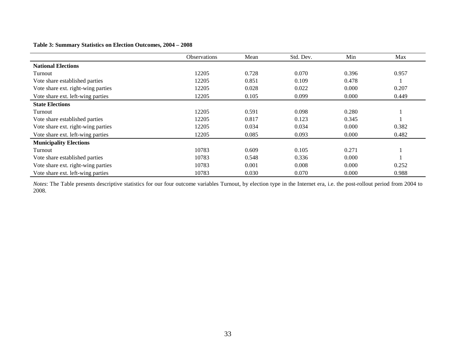#### **Table 3: Summary Statistics on Election Outcomes, 2004 – 2008**

|                                    | <b>Observations</b> | Mean  | Std. Dev. | Min   | Max   |
|------------------------------------|---------------------|-------|-----------|-------|-------|
| <b>National Elections</b>          |                     |       |           |       |       |
| Turnout                            | 12205               | 0.728 | 0.070     | 0.396 | 0.957 |
| Vote share established parties     | 12205               | 0.851 | 0.109     | 0.478 |       |
| Vote share ext. right-wing parties | 12205               | 0.028 | 0.022     | 0.000 | 0.207 |
| Vote share ext. left-wing parties  | 12205               | 0.105 | 0.099     | 0.000 | 0.449 |
| <b>State Elections</b>             |                     |       |           |       |       |
| Turnout                            | 12205               | 0.591 | 0.098     | 0.280 |       |
| Vote share established parties     | 12205               | 0.817 | 0.123     | 0.345 |       |
| Vote share ext. right-wing parties | 12205               | 0.034 | 0.034     | 0.000 | 0.382 |
| Vote share ext. left-wing parties  | 12205               | 0.085 | 0.093     | 0.000 | 0.482 |
| <b>Municipality Elections</b>      |                     |       |           |       |       |
| Turnout                            | 10783               | 0.609 | 0.105     | 0.271 |       |
| Vote share established parties     | 10783               | 0.548 | 0.336     | 0.000 |       |
| Vote share ext. right-wing parties | 10783               | 0.001 | 0.008     | 0.000 | 0.252 |
| Vote share ext. left-wing parties  | 10783               | 0.030 | 0.070     | 0.000 | 0.988 |

*Notes*: The Table presents descriptive statistics for our four outcome variables Turnout, by election type in the Internet era, i.e. the post-rollout period from 2004 to 2008.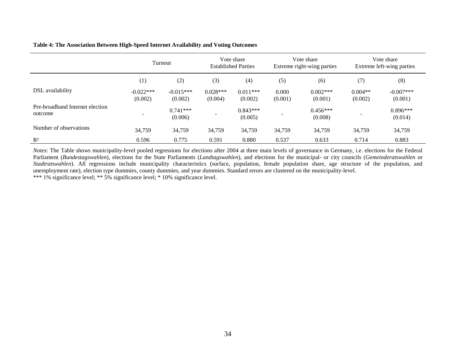#### **Table 4: The Association Between High-Speed Internet Availability and Voting Outcomes**

|                                            | Turnout                |                        | Vote share<br><b>Established Parties</b> |                       | Vote share<br>Extreme right-wing parties |                       | Vote share<br>Extreme left-wing parties |                        |
|--------------------------------------------|------------------------|------------------------|------------------------------------------|-----------------------|------------------------------------------|-----------------------|-----------------------------------------|------------------------|
|                                            | (1)                    | (2)                    | (3)                                      | (4)                   | (5)                                      | (6)                   | (7)                                     | (8)                    |
| DSL availability                           | $-0.022***$<br>(0.002) | $-0.015***$<br>(0.002) | $0.028***$<br>(0.004)                    | $0.011***$<br>(0.002) | 0.000<br>(0.001)                         | $0.002***$<br>(0.001) | $0.004**$<br>(0.002)                    | $-0.007***$<br>(0.001) |
| Pre-broadband Internet election<br>outcome |                        | $0.741***$<br>(0.006)  |                                          | $0.843***$<br>(0.005) |                                          | $0.456***$<br>(0.008) |                                         | $0.896***$<br>(0.014)  |
| Number of observations                     | 34,759                 | 34,759                 | 34,759                                   | 34,759                | 34,759                                   | 34,759                | 34,759                                  | 34,759                 |
| $R^2$                                      | 0.596                  | 0.775                  | 0.591                                    | 0.880                 | 0.537                                    | 0.633                 | 0.714                                   | 0.883                  |

*Notes*: The Table shows municipality-level pooled regressions for elections after 2004 at three main levels of governance in Germany, i.e. elections for the Federal Parliament (*Bundestagswahlen*), elections for the State Parliaments (*Landtagswahlen*), and elections for the municipal- or city councils (*Gemeinderatswahlen* or *Stadtratswahlen*). All regressions include municipality characteristics (surface, population, female population share, age structure of the population, and unemployment rate), election type dummies, county dummies, and year dummies. Standard errors are clustered on the municipality-level. \*\*\* 1% significance level; \*\* 5% significance level; \* 10% significance level.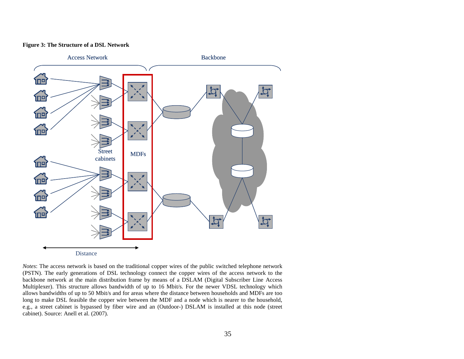#### **Figure 3: The Structure of a DSL Network**

![](_page_35_Figure_1.jpeg)

*Notes*: The access network is based on the traditional copper wires of the public switched telephone network (PSTN). The early generations of DSL technology connect the copper wires of the access network to the backbone network at the main distribution frame by means of a DSLAM [\(Digital Subscriber Line Access](http://de.wikipedia.org/wiki/Digital_Subscriber_Line_Access_Multiplexer)  [Multiplexer\)](http://de.wikipedia.org/wiki/Digital_Subscriber_Line_Access_Multiplexer). This structure allows bandwidth of up to 16 Mbit/s. For the newer VDSL technology which allows bandwidths of up to 50 Mbit/s and for areas where the distance between households and MDFs are too long to make DSL feasible the copper wire between the MDF and a node which is nearer to the household, e.g., a street cabinet is bypassed by fiber wire and an (Outdoor-) DSLAM is installed at this node (street cabinet). Source: Anell et al. (2007).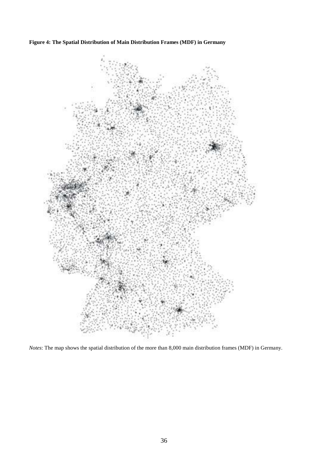**Figure 4: The Spatial Distribution of Main Distribution Frames (MDF) in Germany**

![](_page_36_Picture_1.jpeg)

*Notes*: The map shows the spatial distribution of the more than 8,000 main distribution frames (MDF) in Germany.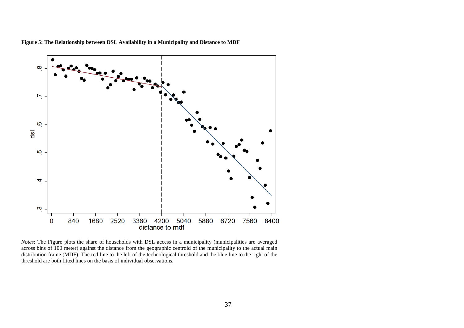![](_page_37_Figure_0.jpeg)

**Figure 5: The Relationship between DSL Availability in a Municipality and Distance to MDF**

*Notes*: The Figure plots the share of households with DSL access in a municipality (municipalities are averaged across bins of 100 meter) against the distance from the geographic centroid of the municipality to the actual main distribution frame (MDF). The red line to the left of the technological threshold and the blue line to the right of the threshold are both fitted lines on the basis of individual observations.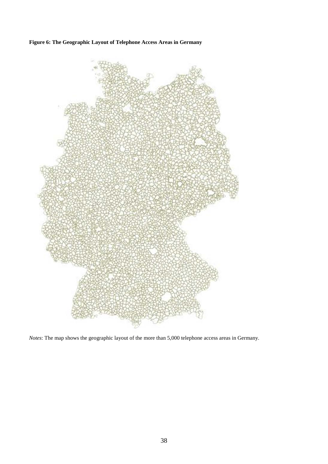**Figure 6: The Geographic Layout of Telephone Access Areas in Germany**

![](_page_38_Figure_1.jpeg)

*Notes*: The map shows the geographic layout of the more than 5,000 telephone access areas in Germany.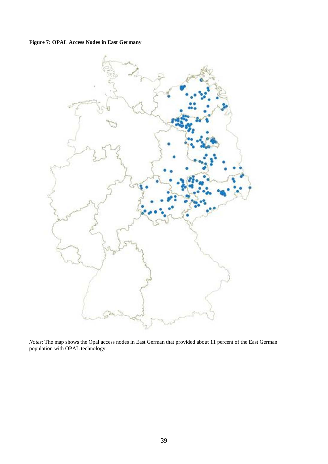# **Figure 7: OPAL Access Nodes in East Germany**

![](_page_39_Figure_1.jpeg)

*Notes*: The map shows the Opal access nodes in East German that provided about 11 percent of the East German population with OPAL technology.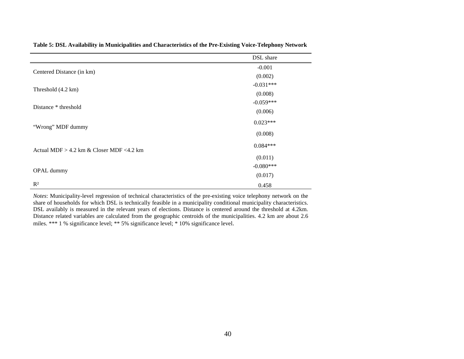|                                              | DSL share   |  |
|----------------------------------------------|-------------|--|
|                                              | $-0.001$    |  |
| Centered Distance (in km)                    | (0.002)     |  |
|                                              | $-0.031***$ |  |
| Threshold (4.2 km)                           | (0.008)     |  |
| Distance * threshold                         | $-0.059***$ |  |
|                                              | (0.006)     |  |
| "Wrong" MDF dummy                            | $0.023***$  |  |
|                                              | (0.008)     |  |
| Actual MDF $> 4.2$ km & Closer MDF $<4.2$ km | $0.084***$  |  |
|                                              | (0.011)     |  |
|                                              | $-0.080***$ |  |
| OPAL dummy                                   | (0.017)     |  |
| $R^2$                                        | 0.458       |  |

**Table 5: DSL Availability in Municipalities and Characteristics of the Pre-Existing Voice-Telephony Network**

*Notes*: Municipality-level regression of technical characteristics of the pre-existing voice telephony network on the share of households for which DSL is technically feasible in a municipality conditional municipality characteristics. DSL availably is measured in the relevant years of elections. Distance is centered around the threshold at 4.2km. Distance related variables are calculated from the geographic centroids of the municipalities. 4.2 km are about 2.6 miles. \*\*\* 1 % significance level; \*\* 5% significance level; \* 10% significance level.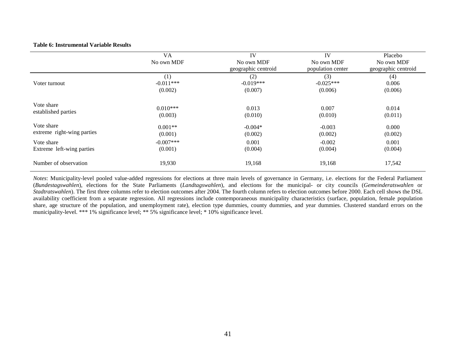#### **Table 6: Instrumental Variable Results**

|                            | VA<br>No own MDF | IV<br>No own MDF<br>geographic centroid | IV<br>No own MDF<br>population center | Placebo<br>No own MDF<br>geographic centroid |
|----------------------------|------------------|-----------------------------------------|---------------------------------------|----------------------------------------------|
| Voter turnout              | (1)              | (2)                                     | (3)                                   | (4)                                          |
|                            | $-0.011***$      | $-0.019***$                             | $-0.025***$                           | 0.006                                        |
|                            | (0.002)          | (0.007)                                 | (0.006)                               | (0.006)                                      |
| Vote share                 | $0.010***$       | 0.013                                   | 0.007                                 | 0.014                                        |
| established parties        | (0.003)          | (0.010)                                 | (0.010)                               | (0.011)                                      |
| Vote share                 | $0.001**$        | $-0.004*$                               | $-0.003$                              | 0.000                                        |
| extreme right-wing parties | (0.001)          | (0.002)                                 | (0.002)                               | (0.002)                                      |
| Vote share                 | $-0.007***$      | 0.001                                   | $-0.002$                              | 0.001                                        |
| Extreme left-wing parties  | (0.001)          | (0.004)                                 | (0.004)                               | (0.004)                                      |
| Number of observation      | 19,930           | 19,168                                  | 19,168                                | 17,542                                       |

*Notes*: Municipality-level pooled value-added regressions for elections at three main levels of governance in Germany, i.e. elections for the Federal Parliament (*Bundestagswahlen*), elections for the State Parliaments (*Landtagswahlen*), and elections for the municipal- or city councils (*Gemeinderatswahlen* or *Stadtratswahlen*). The first three columns refer to election outcomes after 2004. The fourth column refers to election outcomes before 2000. Each cell shows the DSL availability coefficient from a separate regression. All regressions include contemporaneous municipality characteristics (surface, population, female population share, age structure of the population, and unemployment rate), election type dummies, county dummies, and year dummies. Clustered standard errors on the municipality-level. \*\*\* 1% significance level; \*\* 5% significance level; \* 10% significance level.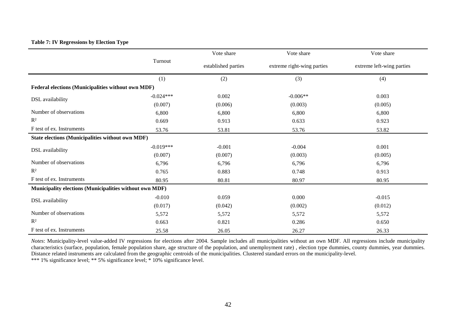## **Table 7: IV Regressions by Election Type**

|                                                         |             | Vote share          | Vote share                 | Vote share                |  |
|---------------------------------------------------------|-------------|---------------------|----------------------------|---------------------------|--|
|                                                         | Turnout     | established parties | extreme right-wing parties | extreme left-wing parties |  |
|                                                         | (1)         | (2)                 | (3)                        | (4)                       |  |
| Federal elections (Municipalities without own MDF)      |             |                     |                            |                           |  |
| DSL availability                                        | $-0.024***$ | 0.002               | $-0.006**$                 | 0.003                     |  |
|                                                         | (0.007)     | (0.006)             | (0.003)                    | (0.005)                   |  |
| Number of observations                                  | 6,800       | 6,800               | 6,800                      | 6,800                     |  |
| $R^2$                                                   | 0.669       | 0.913               | 0.633                      | 0.923                     |  |
| F test of ex. Instruments                               | 53.76       | 53.81               | 53.76                      | 53.82                     |  |
| State elections (Municipalities without own MDF)        |             |                     |                            |                           |  |
| DSL availability                                        | $-0.019***$ | $-0.001$            | $-0.004$                   | 0.001                     |  |
|                                                         | (0.007)     | (0.007)             | (0.003)                    | (0.005)                   |  |
| Number of observations                                  | 6,796       | 6,796               | 6,796                      | 6,796                     |  |
| $R^2$                                                   | 0.765       | 0.883               | 0.748                      | 0.913                     |  |
| F test of ex. Instruments                               | 80.95       | 80.81               | 80.97                      | 80.95                     |  |
| Municipality elections (Municipalities without own MDF) |             |                     |                            |                           |  |
| DSL availability                                        | $-0.010$    | 0.059               | 0.000                      | $-0.015$                  |  |
|                                                         | (0.017)     | (0.042)             | (0.002)                    | (0.012)                   |  |
| Number of observations                                  | 5,572       | 5,572               | 5,572                      | 5,572                     |  |
| $\mathbb{R}^2$                                          | 0.663       | 0.821               | 0.286                      | 0.650                     |  |
| F test of ex. Instruments                               | 25.58       | 26.05               | 26.27                      | 26.33                     |  |

*Notes*: Municipality-level value-added IV regressions for elections after 2004. Sample includes all municipalities without an own MDF. All regressions include municipality characteristics (surface, population, female population share, age structure of the population, and unemployment rate) , election type dummies, county dummies, year dummies. Distance related instruments are calculated from the geographic centroids of the municipalities. Clustered standard errors on the municipality-level. \*\*\* 1% significance level; \*\* 5% significance level; \* 10% significance level.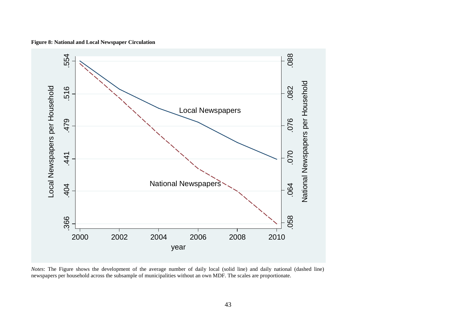![](_page_43_Figure_0.jpeg)

**Figure 8: National and Local Newspaper Circulation**

*Notes*: The Figure shows the development of the average number of daily local (solid line) and daily national (dashed line) newspapers per household across the subsample of municipalities without an own MDF. The scales are proportionate.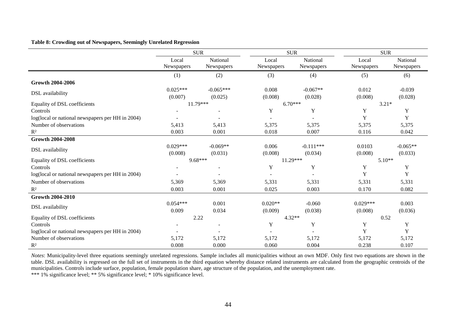#### **Table 8: Crowding out of Newspapers, Seemingly Unrelated Regression**

|                                                  |                       | <b>SUR</b>             |                     | <b>SUR</b>             | <b>SUR</b>          |                        |
|--------------------------------------------------|-----------------------|------------------------|---------------------|------------------------|---------------------|------------------------|
|                                                  | Local<br>Newspapers   | National<br>Newspapers | Local<br>Newspapers | National<br>Newspapers | Local<br>Newspapers | National<br>Newspapers |
|                                                  | (1)                   | (2)                    | (3)                 | (4)                    | (5)                 | (6)                    |
| <b>Growth 2004-2006</b>                          |                       |                        |                     |                        |                     |                        |
| DSL availability                                 | $0.025***$<br>(0.007) | $-0.065***$<br>(0.025) | 0.008<br>(0.008)    | $-0.067**$<br>(0.028)  | 0.012<br>(0.008)    | $-0.039$<br>(0.028)    |
| Equality of DSL coefficients                     |                       | $11.79***$             |                     | $6.70***$              |                     | $3.21*$                |
| Controls                                         |                       |                        | Y                   | Y                      | Y                   | Y                      |
| log(local or national newspapers per HH in 2004) |                       |                        |                     |                        | Y                   | Y                      |
| Number of observations                           | 5,413                 | 5,413                  | 5,375               | 5,375                  | 5,375               | 5,375                  |
| $R^2$                                            | 0.003                 | 0.001                  | 0.018               | 0.007                  | 0.116               | 0.042                  |
| <b>Growth 2004-2008</b>                          |                       |                        |                     |                        |                     |                        |
|                                                  | $0.029***$            | $-0.069**$             | 0.006               | $-0.111***$            | 0.0103              | $-0.065**$             |
| DSL availability                                 | (0.008)               | (0.031)                | (0.008)             | (0.034)                | (0.008)             | (0.033)                |
| Equality of DSL coefficients                     |                       | $9.68***$              | $11.29***$          |                        | $5.10**$            |                        |
| Controls                                         |                       |                        | Y                   | Y                      | Y                   | Y                      |
| log(local or national newspapers per HH in 2004) |                       |                        |                     |                        | Y                   | Y                      |
| Number of observations                           | 5,369                 | 5,369                  | 5,331               | 5,331                  | 5,331               | 5,331                  |
| $R^2$                                            | 0.003                 | 0.001                  | 0.025               | 0.003                  | 0.170               | 0.082                  |
| <b>Growth 2004-2010</b>                          |                       |                        |                     |                        |                     |                        |
|                                                  | $0.054***$            | 0.001                  | $0.020**$           | $-0.060$               | $0.029***$          | 0.003                  |
| DSL availability                                 | 0.009                 | 0.034                  | (0.009)             | (0.038)                | (0.008)             | (0.036)                |
| Equality of DSL coefficients                     |                       | 2.22                   | $4.32**$            |                        | 0.52                |                        |
| Controls                                         |                       |                        | Y                   | Y                      | Y                   | Y                      |
| log(local or national newspapers per HH in 2004) |                       |                        |                     |                        | Y                   | Y                      |
| Number of observations                           | 5,172                 | 5,172                  | 5,172               | 5,172                  | 5,172               | 5,172                  |
| $R^2$                                            | 0.008                 | 0.000                  | 0.060               | 0.004                  | 0.238               | 0.107                  |

*Notes*: Municipality-level three equations seemingly unrelated regressions. Sample includes all municipalities without an own MDF. Only first two equations are shown in the table. DSL availability is regressed on the full set of instruments in the third equation whereby distance related instruments are calculated from the geographic centroids of the municipalities. Controls include surface, population, female population share, age structure of the population, and the unemployment rate.

\*\*\* 1% significance level; \*\* 5% significance level; \* 10% significance level.